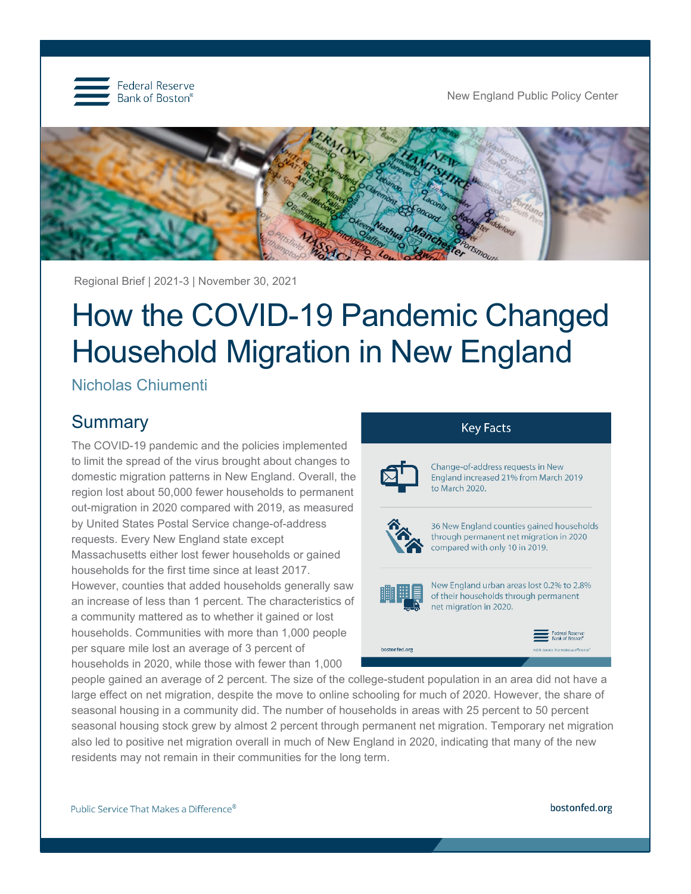

New England Public Policy Center



Regional Brief | 2021-3 | November 30, 2021

# How the COVID-19 Pandemic Changed Household Migration in New England

Nicholas Chiumenti

## **Summary**

The COVID-19 pandemic and the policies implemented to limit the spread of the virus brought about changes to domestic migration patterns in New England. Overall, the region lost about 50,000 fewer households to permanent out-migration in 2020 compared with 2019, as measured by United States Postal Service change-of-address requests. Every New England state except Massachusetts either lost fewer households or gained households for the first time since at least 2017. However, counties that added households generally saw an increase of less than 1 percent. The characteristics of a community mattered as to whether it gained or lost households. Communities with more than 1,000 people per square mile lost an average of 3 percent of households in 2020, while those with fewer than 1,000



people gained an average of 2 percent. The size of the college-student population in an area did not have a large effect on net migration, despite the move to online schooling for much of 2020. However, the share of seasonal housing in a community did. The number of households in areas with 25 percent to 50 percent seasonal housing stock grew by almost 2 percent through permanent net migration. Temporary net migration also led to positive net migration overall in much of New England in 2020, indicating that many of the new residents may not remain in their communities for the long term.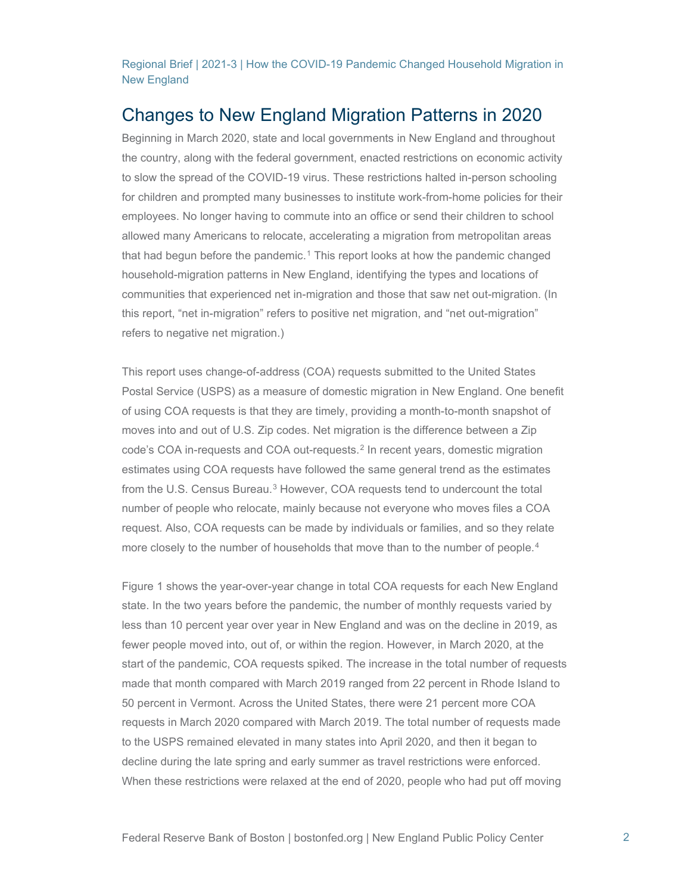## Changes to New England Migration Patterns in 2020

Beginning in March 2020, state and local governments in New England and throughout the country, along with the federal government, enacted restrictions on economic activity to slow the spread of the COVID-19 virus. These restrictions halted in-person schooling for children and prompted many businesses to institute work-from-home policies for their employees. No longer having to commute into an office or send their children to school allowed many Americans to relocate, accelerating a migration from metropolitan areas that had begun before the pandemic.[1](#page-20-0) This report looks at how the pandemic changed household-migration patterns in New England, identifying the types and locations of communities that experienced net in-migration and those that saw net out-migration. (In this report, "net in-migration" refers to positive net migration, and "net out-migration" refers to negative net migration.)

This report uses change-of-address (COA) requests submitted to the United States Postal Service (USPS) as a measure of domestic migration in New England. One benefit of using COA requests is that they are timely, providing a month-to-month snapshot of moves into and out of U.S. Zip codes. Net migration is the difference between a Zip code's COA in-requests and COA out-requests.[2](#page-20-1) In recent years, domestic migration estimates using COA requests have followed the same general trend as the estimates from the U.S. Census Bureau.<sup>[3](#page-20-2)</sup> However, COA requests tend to undercount the total number of people who relocate, mainly because not everyone who moves files a COA request. Also, COA requests can be made by individuals or families, and so they relate more closely to the number of households that move than to the number of people.<sup>[4](#page-20-3)</sup>

Figure 1 shows the year-over-year change in total COA requests for each New England state. In the two years before the pandemic, the number of monthly requests varied by less than 10 percent year over year in New England and was on the decline in 2019, as fewer people moved into, out of, or within the region. However, in March 2020, at the start of the pandemic, COA requests spiked. The increase in the total number of requests made that month compared with March 2019 ranged from 22 percent in Rhode Island to 50 percent in Vermont. Across the United States, there were 21 percent more COA requests in March 2020 compared with March 2019. The total number of requests made to the USPS remained elevated in many states into April 2020, and then it began to decline during the late spring and early summer as travel restrictions were enforced. When these restrictions were relaxed at the end of 2020, people who had put off moving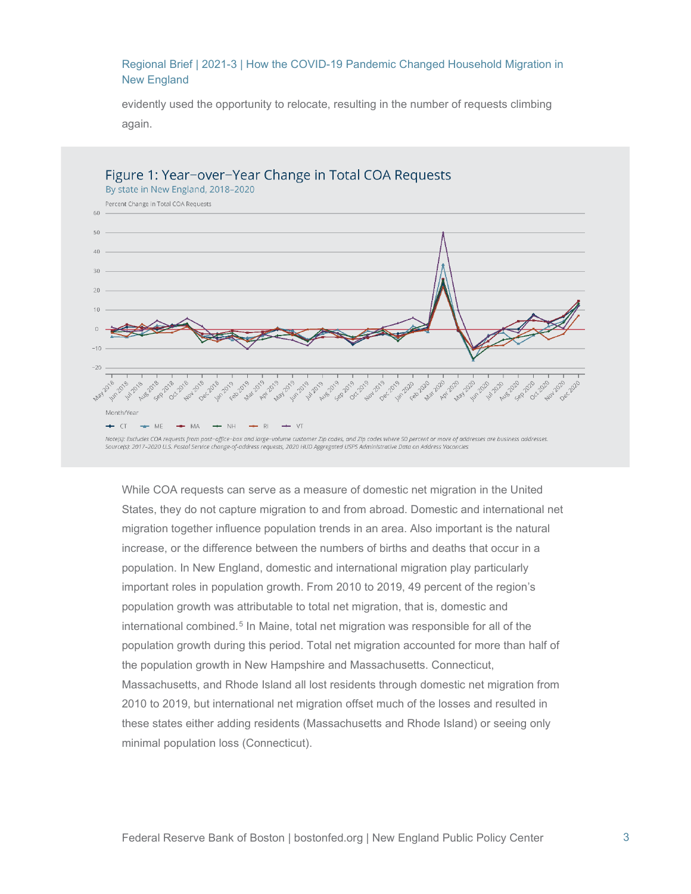evidently used the opportunity to relocate, resulting in the number of requests climbing again.



While COA requests can serve as a measure of domestic net migration in the United States, they do not capture migration to and from abroad. Domestic and international net migration together influence population trends in an area. Also important is the natural increase, or the difference between the numbers of births and deaths that occur in a population. In New England, domestic and international migration play particularly important roles in population growth. From 2010 to 2019, 49 percent of the region's population growth was attributable to total net migration, that is, domestic and international combined.<sup>[5](#page-20-4)</sup> In Maine, total net migration was responsible for all of the population growth during this period. Total net migration accounted for more than half of the population growth in New Hampshire and Massachusetts. Connecticut, Massachusetts, and Rhode Island all lost residents through domestic net migration from 2010 to 2019, but international net migration offset much of the losses and resulted in these states either adding residents (Massachusetts and Rhode Island) or seeing only minimal population loss (Connecticut).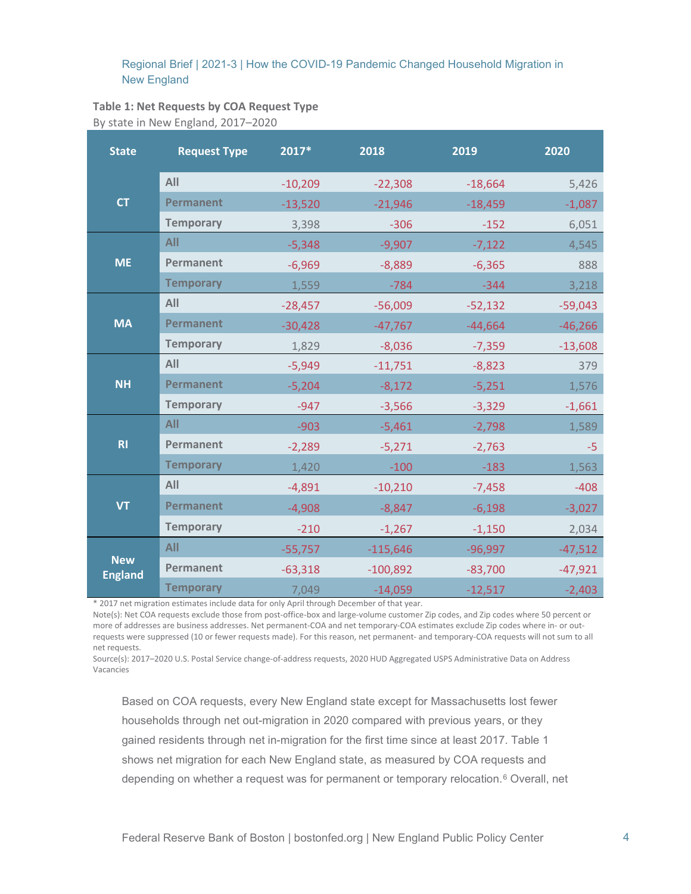## **Table 1: Net Requests by COA Request Type**

By state in New England, 2017–2020

| <b>State</b>                 | <b>Request Type</b> | 2017*     | 2018       | 2019      | 2020      |
|------------------------------|---------------------|-----------|------------|-----------|-----------|
| <b>CT</b>                    | All                 | $-10,209$ | $-22,308$  | $-18,664$ | 5,426     |
|                              | <b>Permanent</b>    | $-13,520$ | $-21,946$  | $-18,459$ | $-1,087$  |
|                              | <b>Temporary</b>    | 3,398     | $-306$     | $-152$    | 6,051     |
| <b>ME</b>                    | <b>All</b>          | $-5,348$  | $-9,907$   | $-7,122$  | 4,545     |
|                              | Permanent           | $-6,969$  | $-8,889$   | $-6,365$  | 888       |
|                              | <b>Temporary</b>    | 1,559     | $-784$     | $-344$    | 3,218     |
| <b>MA</b>                    | All                 | $-28,457$ | $-56,009$  | $-52,132$ | $-59,043$ |
|                              | <b>Permanent</b>    | $-30,428$ | $-47,767$  | $-44,664$ | $-46,266$ |
|                              | <b>Temporary</b>    | 1,829     | $-8,036$   | $-7,359$  | $-13,608$ |
| <b>NH</b>                    | All                 | $-5,949$  | $-11,751$  | $-8,823$  | 379       |
|                              | <b>Permanent</b>    | $-5,204$  | $-8,172$   | $-5,251$  | 1,576     |
|                              | <b>Temporary</b>    | $-947$    | $-3,566$   | $-3,329$  | $-1,661$  |
| R1                           | All                 | $-903$    | $-5,461$   | $-2,798$  | 1,589     |
|                              | Permanent           | $-2,289$  | $-5,271$   | $-2,763$  | $-5$      |
|                              | <b>Temporary</b>    | 1,420     | $-100$     | $-183$    | 1,563     |
| <b>VT</b>                    | All                 | $-4,891$  | $-10,210$  | $-7,458$  | $-408$    |
|                              | <b>Permanent</b>    | $-4,908$  | $-8,847$   | $-6,198$  | $-3,027$  |
|                              | <b>Temporary</b>    | $-210$    | $-1,267$   | $-1,150$  | 2,034     |
| <b>New</b><br><b>England</b> | <b>All</b>          | $-55,757$ | $-115,646$ | $-96,997$ | $-47,512$ |
|                              | Permanent           | $-63,318$ | $-100,892$ | $-83,700$ | $-47,921$ |
|                              | <b>Temporary</b>    | 7,049     | $-14,059$  | $-12,517$ | $-2,403$  |

\* 2017 net migration estimates include data for only April through December of that year.

Note(s): Net COA requests exclude those from post-office-box and large-volume customer Zip codes, and Zip codes where 50 percent or more of addresses are business addresses. Net permanent-COA and net temporary-COA estimates exclude Zip codes where in- or outrequests were suppressed (10 or fewer requests made). For this reason, net permanent- and temporary-COA requests will not sum to all net requests.

Source(s): 2017–2020 U.S. Postal Service change-of-address requests, 2020 HUD Aggregated USPS Administrative Data on Address Vacancies

Based on COA requests, every New England state except for Massachusetts lost fewer households through net out-migration in 2020 compared with previous years, or they gained residents through net in-migration for the first time since at least 2017. Table 1 shows net migration for each New England state, as measured by COA requests and depending on whether a request was for permanent or temporary relocation.<sup>[6](#page-20-5)</sup> Overall, net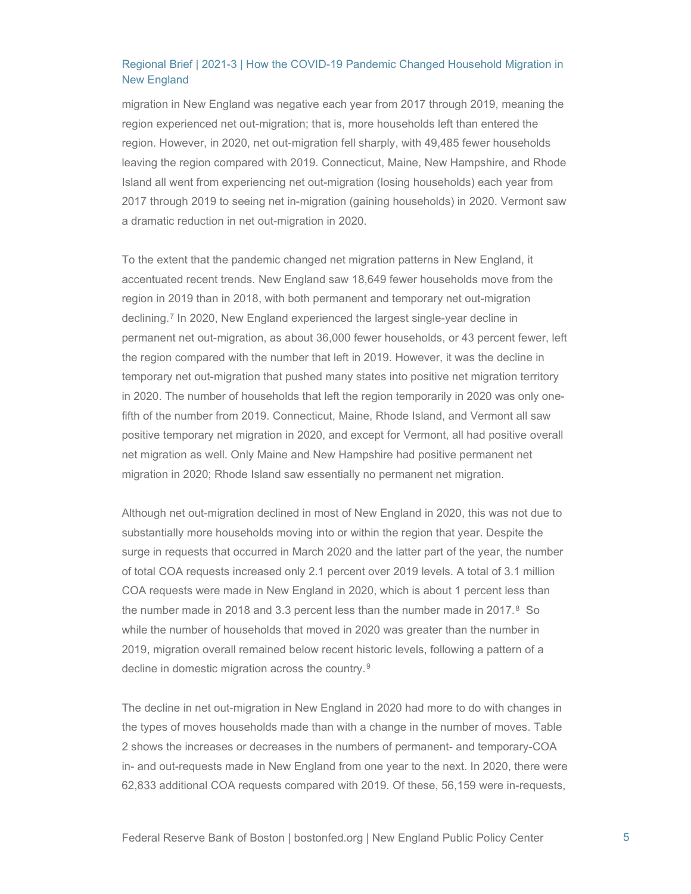migration in New England was negative each year from 2017 through 2019, meaning the region experienced net out-migration; that is, more households left than entered the region. However, in 2020, net out-migration fell sharply, with 49,485 fewer households leaving the region compared with 2019. Connecticut, Maine, New Hampshire, and Rhode Island all went from experiencing net out-migration (losing households) each year from 2017 through 2019 to seeing net in-migration (gaining households) in 2020. Vermont saw a dramatic reduction in net out-migration in 2020.

To the extent that the pandemic changed net migration patterns in New England, it accentuated recent trends. New England saw 18,649 fewer households move from the region in 2019 than in 2018, with both permanent and temporary net out-migration declining.[7](#page-20-6) In 2020, New England experienced the largest single-year decline in permanent net out-migration, as about 36,000 fewer households, or 43 percent fewer, left the region compared with the number that left in 2019. However, it was the decline in temporary net out-migration that pushed many states into positive net migration territory in 2020. The number of households that left the region temporarily in 2020 was only onefifth of the number from 2019. Connecticut, Maine, Rhode Island, and Vermont all saw positive temporary net migration in 2020, and except for Vermont, all had positive overall net migration as well. Only Maine and New Hampshire had positive permanent net migration in 2020; Rhode Island saw essentially no permanent net migration.

Although net out-migration declined in most of New England in 2020, this was not due to substantially more households moving into or within the region that year. Despite the surge in requests that occurred in March 2020 and the latter part of the year, the number of total COA requests increased only 2.1 percent over 2019 levels. A total of 3.1 million COA requests were made in New England in 2020, which is about 1 percent less than the number made in 201[8](#page-20-7) and 3.3 percent less than the number made in 2017. $8$  So while the number of households that moved in 2020 was greater than the number in 2019, migration overall remained below recent historic levels, following a pattern of a decline in domestic migration across the country.<sup>[9](#page-20-8)</sup>

The decline in net out-migration in New England in 2020 had more to do with changes in the types of moves households made than with a change in the number of moves. Table 2 shows the increases or decreases in the numbers of permanent- and temporary-COA in- and out-requests made in New England from one year to the next. In 2020, there were 62,833 additional COA requests compared with 2019. Of these, 56,159 were in-requests,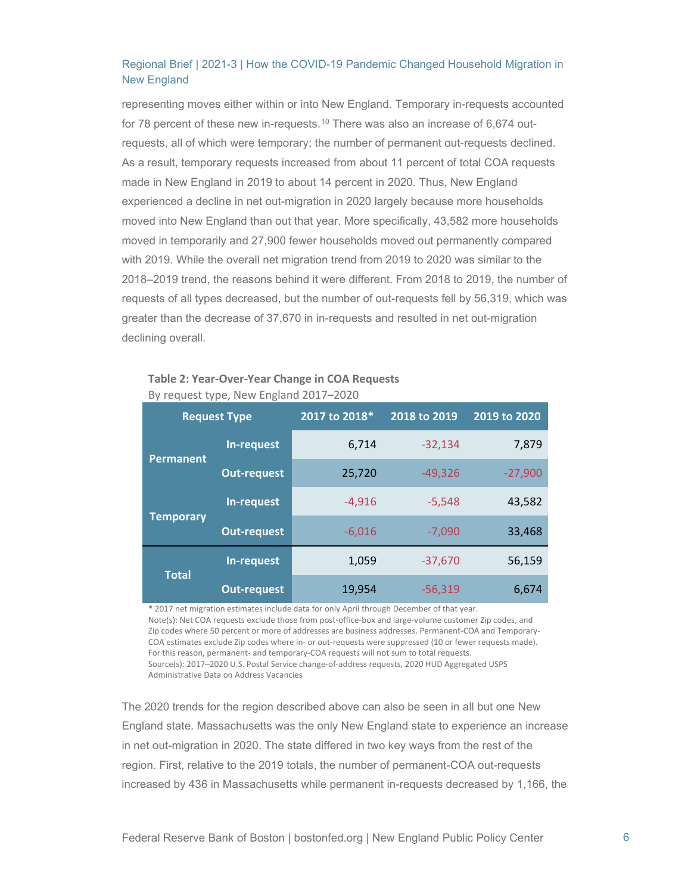representing moves either within or into New England. Temporary in-requests accounted for 78 percent of these new in-requests.<sup>[10](#page-20-9)</sup> There was also an increase of  $6,674$  outrequests, all of which were temporary; the number of permanent out-requests declined. As a result, temporary requests increased from about 11 percent of total COA requests made in New England in 2019 to about 14 percent in 2020. Thus, New England experienced a decline in net out-migration in 2020 largely because more households moved into New England than out that year. More specifically, 43,582 more households moved in temporarily and 27,900 fewer households moved out permanently compared with 2019. While the overall net migration trend from 2019 to 2020 was similar to the 2018–2019 trend, the reasons behind it were different. From 2018 to 2019, the number of requests of all types decreased, but the number of out-requests fell by 56,319, which was greater than the decrease of 37,670 in in-requests and resulted in net out-migration declining overall.

| <b>Request Type</b> |                    | 2017 to 2018* | 2018 to 2019 | 2019 to 2020 |
|---------------------|--------------------|---------------|--------------|--------------|
| <b>Permanent</b>    | In-request         | 6,714         | $-32,134$    | 7,879        |
|                     | <b>Out-request</b> | 25,720        | $-49,326$    | $-27,900$    |
| <b>Temporary</b>    | In-request         | $-4,916$      | $-5,548$     | 43,582       |
|                     | <b>Out-request</b> | $-6,016$      | $-7,090$     | 33,468       |
| <b>Total</b>        | In-request         | 1,059         | $-37,670$    | 56,159       |
|                     | <b>Out-request</b> | 19,954        | $-56,319$    | 6,674        |

#### **Table 2: Year-Over-Year Change in COA Requests** By request type, New England 2017–2020

\* 2017 net migration estimates include data for only April through December of that year. Note(s): Net COA requests exclude those from post-office-box and large-volume customer Zip codes, and Zip codes where 50 percent or more of addresses are business addresses. Permanent-COA and Temporary-COA estimates exclude Zip codes where in- or out-requests were suppressed (10 or fewer requests made). For this reason, permanent- and temporary-COA requests will not sum to total requests. Source(s): 2017–2020 U.S. Postal Service change-of-address requests, 2020 HUD Aggregated USPS Administrative Data on Address Vacancies

The 2020 trends for the region described above can also be seen in all but one New England state. Massachusetts was the only New England state to experience an increase in net out-migration in 2020. The state differed in two key ways from the rest of the region. First, relative to the 2019 totals, the number of permanent-COA out-requests increased by 436 in Massachusetts while permanent in-requests decreased by 1,166, the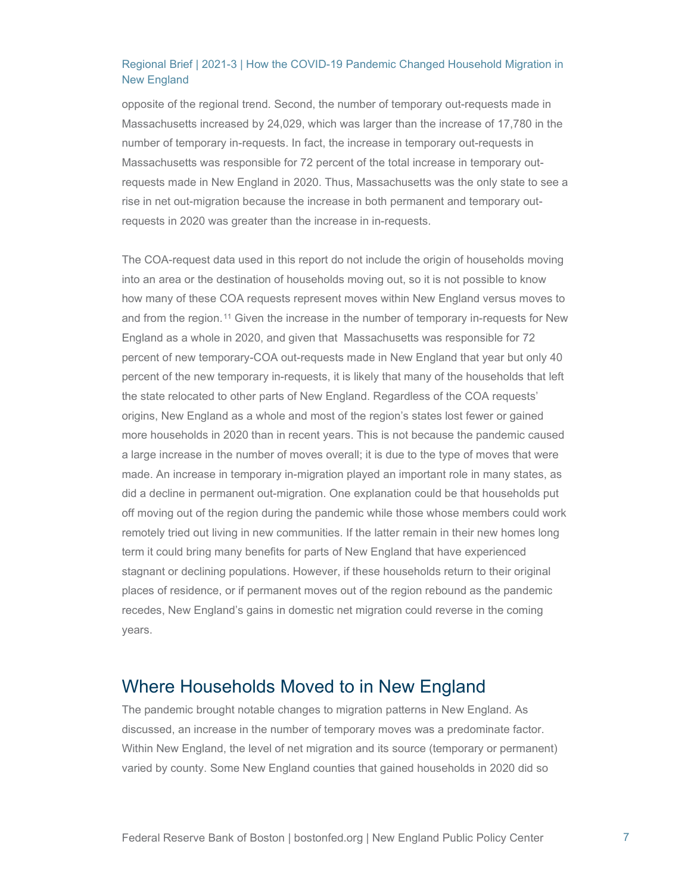opposite of the regional trend. Second, the number of temporary out-requests made in Massachusetts increased by 24,029, which was larger than the increase of 17,780 in the number of temporary in-requests. In fact, the increase in temporary out-requests in Massachusetts was responsible for 72 percent of the total increase in temporary outrequests made in New England in 2020. Thus, Massachusetts was the only state to see a rise in net out-migration because the increase in both permanent and temporary outrequests in 2020 was greater than the increase in in-requests.

The COA-request data used in this report do not include the origin of households moving into an area or the destination of households moving out, so it is not possible to know how many of these COA requests represent moves within New England versus moves to and from the region.<sup>[11](#page-20-10)</sup> Given the increase in the number of temporary in-requests for New England as a whole in 2020, and given that Massachusetts was responsible for 72 percent of new temporary-COA out-requests made in New England that year but only 40 percent of the new temporary in-requests, it is likely that many of the households that left the state relocated to other parts of New England. Regardless of the COA requests' origins, New England as a whole and most of the region's states lost fewer or gained more households in 2020 than in recent years. This is not because the pandemic caused a large increase in the number of moves overall; it is due to the type of moves that were made. An increase in temporary in-migration played an important role in many states, as did a decline in permanent out-migration. One explanation could be that households put off moving out of the region during the pandemic while those whose members could work remotely tried out living in new communities. If the latter remain in their new homes long term it could bring many benefits for parts of New England that have experienced stagnant or declining populations. However, if these households return to their original places of residence, or if permanent moves out of the region rebound as the pandemic recedes, New England's gains in domestic net migration could reverse in the coming years.

## Where Households Moved to in New England

The pandemic brought notable changes to migration patterns in New England. As discussed, an increase in the number of temporary moves was a predominate factor. Within New England, the level of net migration and its source (temporary or permanent) varied by county. Some New England counties that gained households in 2020 did so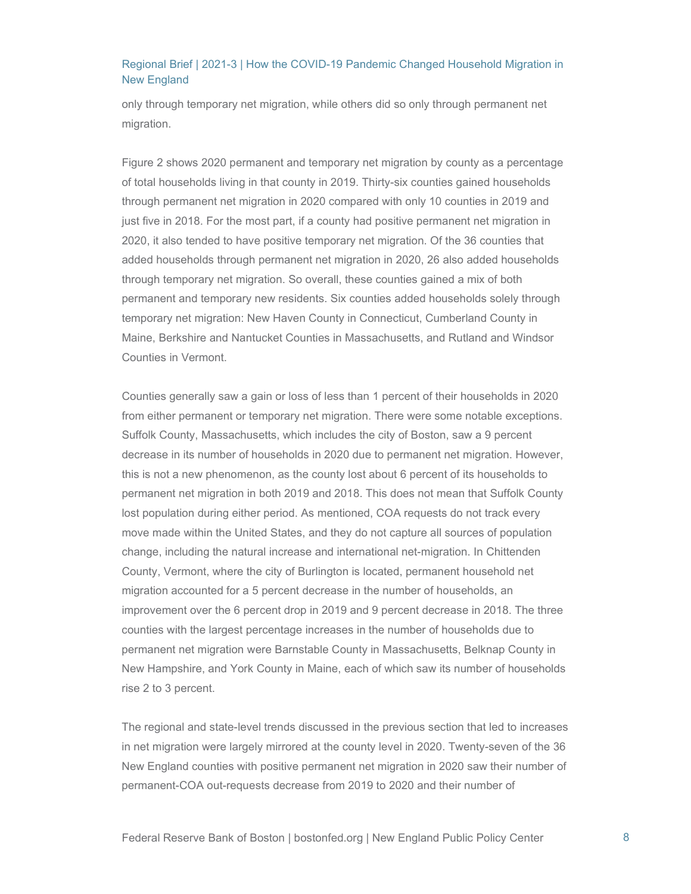only through temporary net migration, while others did so only through permanent net migration.

Figure 2 shows 2020 permanent and temporary net migration by county as a percentage of total households living in that county in 2019. Thirty-six counties gained households through permanent net migration in 2020 compared with only 10 counties in 2019 and just five in 2018. For the most part, if a county had positive permanent net migration in 2020, it also tended to have positive temporary net migration. Of the 36 counties that added households through permanent net migration in 2020, 26 also added households through temporary net migration. So overall, these counties gained a mix of both permanent and temporary new residents. Six counties added households solely through temporary net migration: New Haven County in Connecticut, Cumberland County in Maine, Berkshire and Nantucket Counties in Massachusetts, and Rutland and Windsor Counties in Vermont.

Counties generally saw a gain or loss of less than 1 percent of their households in 2020 from either permanent or temporary net migration. There were some notable exceptions. Suffolk County, Massachusetts, which includes the city of Boston, saw a 9 percent decrease in its number of households in 2020 due to permanent net migration. However, this is not a new phenomenon, as the county lost about 6 percent of its households to permanent net migration in both 2019 and 2018. This does not mean that Suffolk County lost population during either period. As mentioned, COA requests do not track every move made within the United States, and they do not capture all sources of population change, including the natural increase and international net-migration. In Chittenden County, Vermont, where the city of Burlington is located, permanent household net migration accounted for a 5 percent decrease in the number of households, an improvement over the 6 percent drop in 2019 and 9 percent decrease in 2018. The three counties with the largest percentage increases in the number of households due to permanent net migration were Barnstable County in Massachusetts, Belknap County in New Hampshire, and York County in Maine, each of which saw its number of households rise 2 to 3 percent.

The regional and state-level trends discussed in the previous section that led to increases in net migration were largely mirrored at the county level in 2020. Twenty-seven of the 36 New England counties with positive permanent net migration in 2020 saw their number of permanent-COA out-requests decrease from 2019 to 2020 and their number of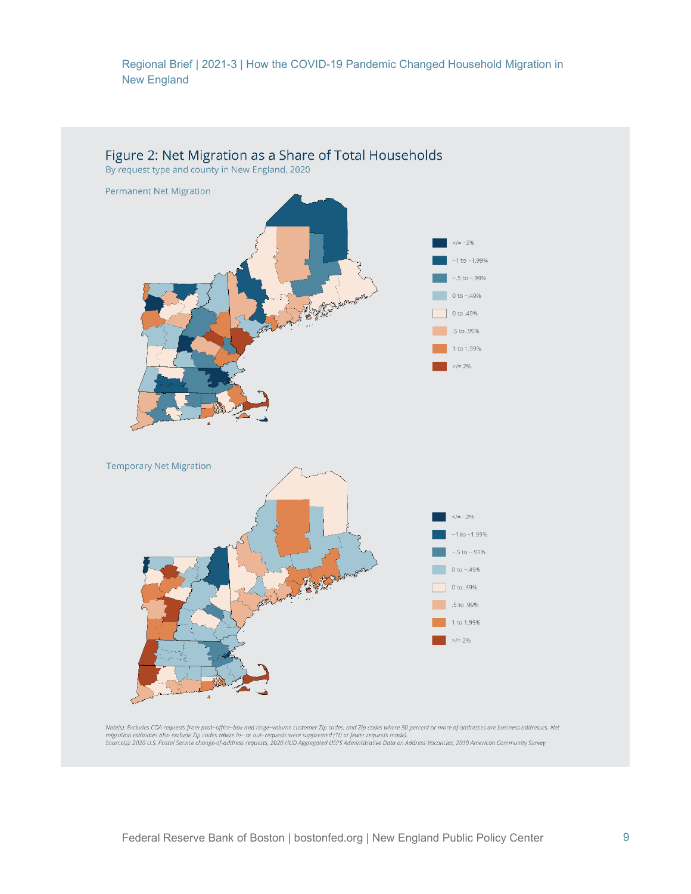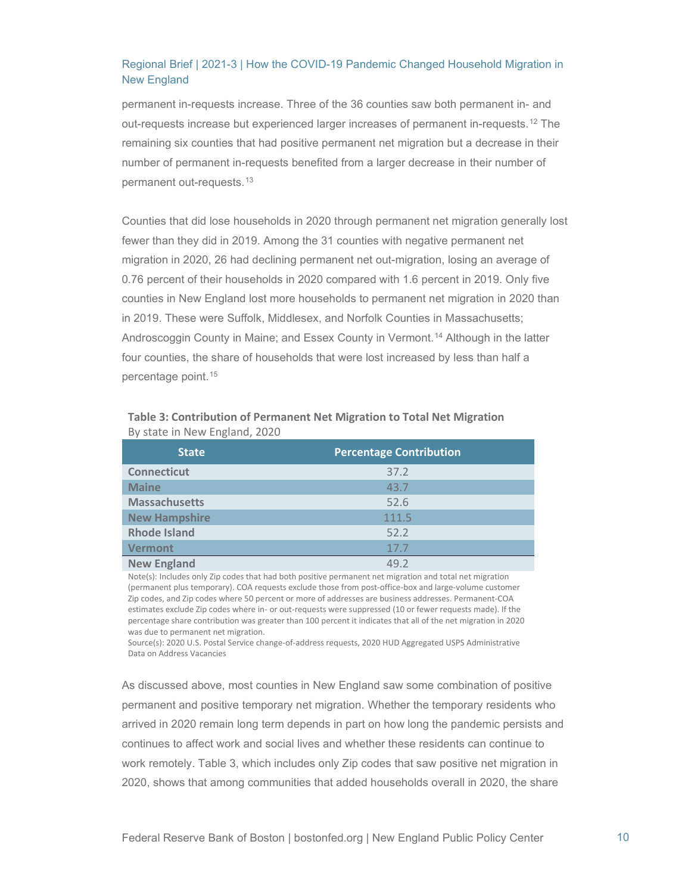permanent in-requests increase. Three of the 36 counties saw both permanent in- and out-requests increase but experienced larger increases of permanent in-requests.[12](#page-20-11) The remaining six counties that had positive permanent net migration but a decrease in their number of permanent in-requests benefited from a larger decrease in their number of permanent out-requests.[13](#page-20-12)

Counties that did lose households in 2020 through permanent net migration generally lost fewer than they did in 2019. Among the 31 counties with negative permanent net migration in 2020, 26 had declining permanent net out-migration, losing an average of 0.76 percent of their households in 2020 compared with 1.6 percent in 2019. Only five counties in New England lost more households to permanent net migration in 2020 than in 2019. These were Suffolk, Middlesex, and Norfolk Counties in Massachusetts; Androscoggin County in Maine; and Essex County in Vermont.[14](#page-20-13) Although in the latter four counties, the share of households that were lost increased by less than half a percentage point.[15](#page-20-14)

| <b>State</b>         | <b>Percentage Contribution</b> |  |  |
|----------------------|--------------------------------|--|--|
| <b>Connecticut</b>   | 37.2                           |  |  |
| <b>Maine</b>         | 43.7                           |  |  |
| <b>Massachusetts</b> | 52.6                           |  |  |
| <b>New Hampshire</b> | 111.5                          |  |  |
| <b>Rhode Island</b>  | 52.2                           |  |  |
| <b>Vermont</b>       | 17.7                           |  |  |
| <b>New England</b>   | 49 2                           |  |  |

| Table 3: Contribution of Permanent Net Migration to Total Net Migration |  |  |
|-------------------------------------------------------------------------|--|--|
| By state in New England, 2020                                           |  |  |

Note(s): Includes only Zip codes that had both positive permanent net migration and total net migration (permanent plus temporary). COA requests exclude those from post-office-box and large-volume customer Zip codes, and Zip codes where 50 percent or more of addresses are business addresses. Permanent-COA estimates exclude Zip codes where in- or out-requests were suppressed (10 or fewer requests made). If the percentage share contribution was greater than 100 percent it indicates that all of the net migration in 2020 was due to permanent net migration.

Source(s): 2020 U.S. Postal Service change-of-address requests, 2020 HUD Aggregated USPS Administrative Data on Address Vacancies

As discussed above, most counties in New England saw some combination of positive permanent and positive temporary net migration. Whether the temporary residents who arrived in 2020 remain long term depends in part on how long the pandemic persists and continues to affect work and social lives and whether these residents can continue to work remotely. Table 3, which includes only Zip codes that saw positive net migration in 2020, shows that among communities that added households overall in 2020, the share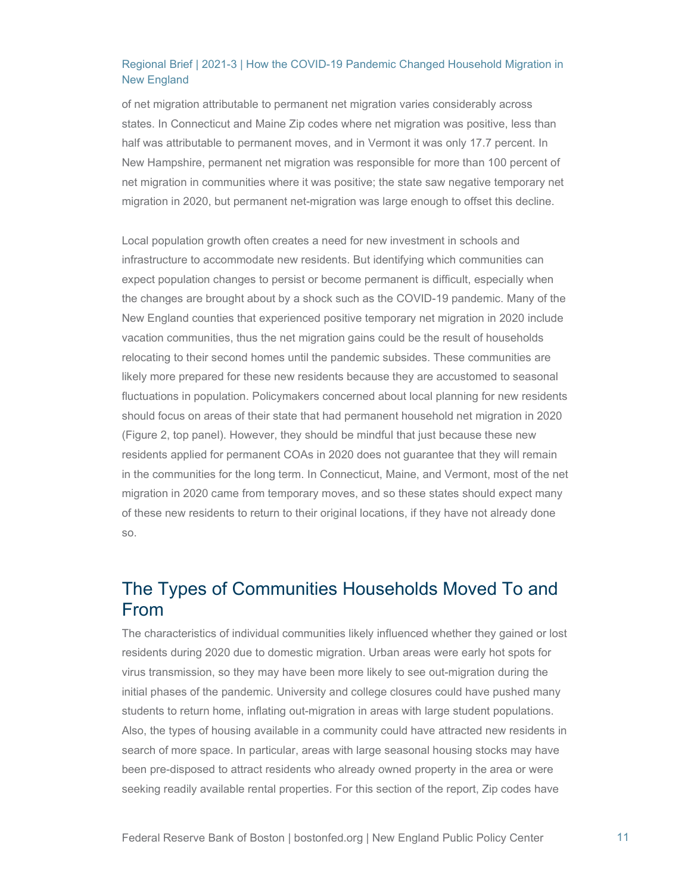of net migration attributable to permanent net migration varies considerably across states. In Connecticut and Maine Zip codes where net migration was positive, less than half was attributable to permanent moves, and in Vermont it was only 17.7 percent. In New Hampshire, permanent net migration was responsible for more than 100 percent of net migration in communities where it was positive; the state saw negative temporary net migration in 2020, but permanent net-migration was large enough to offset this decline.

Local population growth often creates a need for new investment in schools and infrastructure to accommodate new residents. But identifying which communities can expect population changes to persist or become permanent is difficult, especially when the changes are brought about by a shock such as the COVID-19 pandemic. Many of the New England counties that experienced positive temporary net migration in 2020 include vacation communities, thus the net migration gains could be the result of households relocating to their second homes until the pandemic subsides. These communities are likely more prepared for these new residents because they are accustomed to seasonal fluctuations in population. Policymakers concerned about local planning for new residents should focus on areas of their state that had permanent household net migration in 2020 (Figure 2, top panel). However, they should be mindful that just because these new residents applied for permanent COAs in 2020 does not guarantee that they will remain in the communities for the long term. In Connecticut, Maine, and Vermont, most of the net migration in 2020 came from temporary moves, and so these states should expect many of these new residents to return to their original locations, if they have not already done so.

# The Types of Communities Households Moved To and From

The characteristics of individual communities likely influenced whether they gained or lost residents during 2020 due to domestic migration. Urban areas were early hot spots for virus transmission, so they may have been more likely to see out-migration during the initial phases of the pandemic. University and college closures could have pushed many students to return home, inflating out-migration in areas with large student populations. Also, the types of housing available in a community could have attracted new residents in search of more space. In particular, areas with large seasonal housing stocks may have been pre-disposed to attract residents who already owned property in the area or were seeking readily available rental properties. For this section of the report, Zip codes have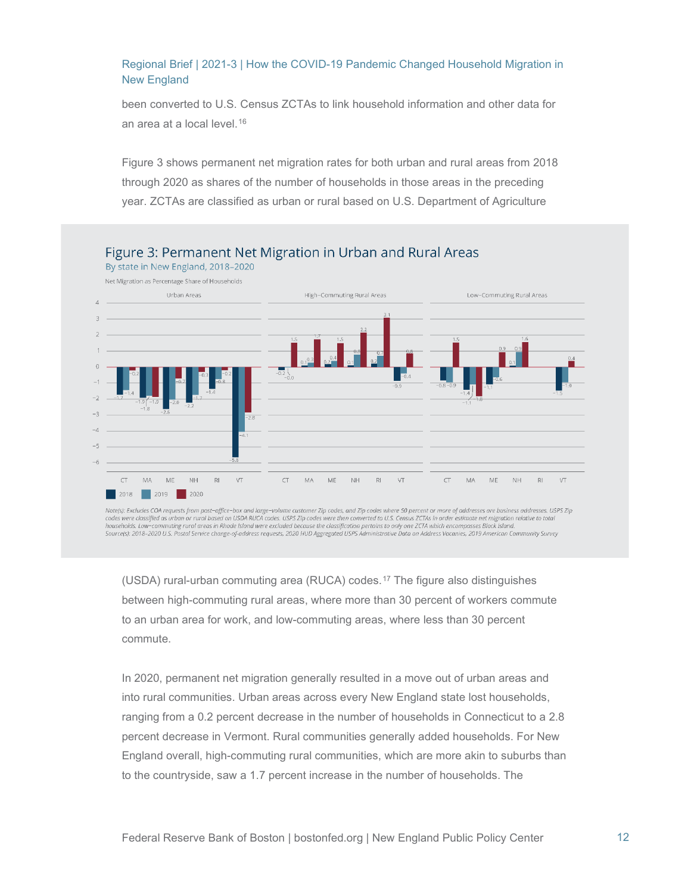been converted to U.S. Census ZCTAs to link household information and other data for an area at a local level.<sup>[16](#page-20-15)</sup>

Figure 3 shows permanent net migration rates for both urban and rural areas from 2018 through 2020 as shares of the number of households in those areas in the preceding year. ZCTAs are classified as urban or rural based on U.S. Department of Agriculture



Note(s): Excludes COA requests from post-office-box and large-volume customer Zip codes, and Zip codes where 50 percent or more of addresses are business addresses. USPS Zip codes were classified as urban or rural based on USDA RUCA codes. USPS Zip codes were then converted to U.S. Census ZCTAs in order estimate net migration relative to total households. Low-commuting rural areas in Rhode Island were excluded because the classification pertains to only one ZCTA which encompasses Block Island. Source(s): 2018–2020 U.S. Postal Service change-of-address requests, 2020 HUD Aggregated USPS Administrative Data on Address Vacanies, 2019 American Community Survey

(USDA) rural-urban commuting area (RUCA) codes.[17](#page-20-16) The figure also distinguishes between high-commuting rural areas, where more than 30 percent of workers commute to an urban area for work, and low-commuting areas, where less than 30 percent commute.

In 2020, permanent net migration generally resulted in a move out of urban areas and into rural communities. Urban areas across every New England state lost households, ranging from a 0.2 percent decrease in the number of households in Connecticut to a 2.8 percent decrease in Vermont. Rural communities generally added households. For New England overall, high-commuting rural communities, which are more akin to suburbs than to the countryside, saw a 1.7 percent increase in the number of households. The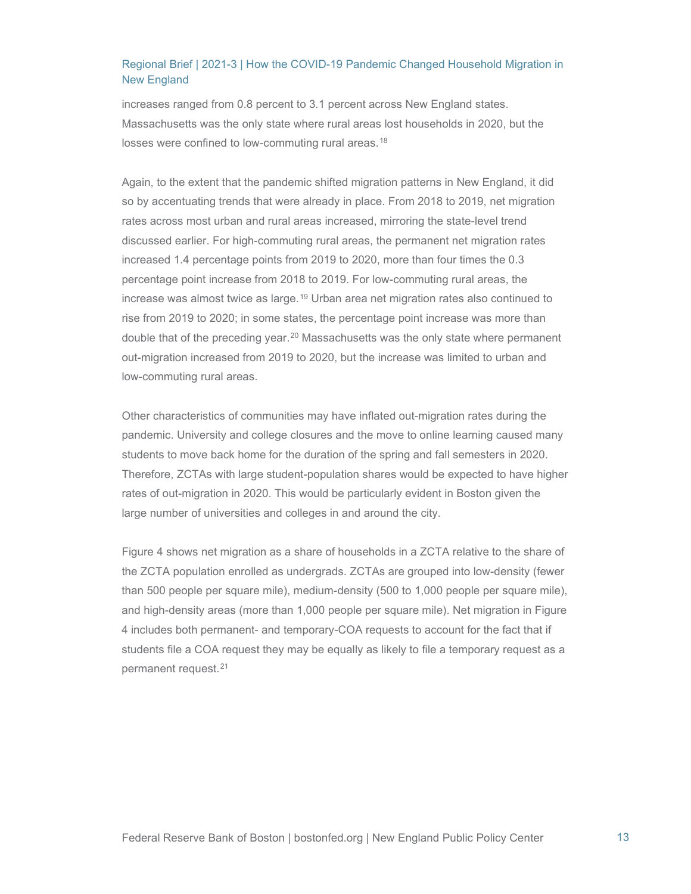increases ranged from 0.8 percent to 3.1 percent across New England states. Massachusetts was the only state where rural areas lost households in 2020, but the losses were confined to low-commuting rural areas.<sup>[18](#page-20-17)</sup>

Again, to the extent that the pandemic shifted migration patterns in New England, it did so by accentuating trends that were already in place. From 2018 to 2019, net migration rates across most urban and rural areas increased, mirroring the state-level trend discussed earlier. For high-commuting rural areas, the permanent net migration rates increased 1.4 percentage points from 2019 to 2020, more than four times the 0.3 percentage point increase from 2018 to 2019. For low-commuting rural areas, the increase was almost twice as large.<sup>[19](#page-20-18)</sup> Urban area net migration rates also continued to rise from 2019 to 2020; in some states, the percentage point increase was more than double that of the preceding year.<sup>[20](#page-20-19)</sup> Massachusetts was the only state where permanent out-migration increased from 2019 to 2020, but the increase was limited to urban and low-commuting rural areas.

Other characteristics of communities may have inflated out-migration rates during the pandemic. University and college closures and the move to online learning caused many students to move back home for the duration of the spring and fall semesters in 2020. Therefore, ZCTAs with large student-population shares would be expected to have higher rates of out-migration in 2020. This would be particularly evident in Boston given the large number of universities and colleges in and around the city.

Figure 4 shows net migration as a share of households in a ZCTA relative to the share of the ZCTA population enrolled as undergrads. ZCTAs are grouped into low-density (fewer than 500 people per square mile), medium-density (500 to 1,000 people per square mile), and high-density areas (more than 1,000 people per square mile). Net migration in Figure 4 includes both permanent- and temporary-COA requests to account for the fact that if students file a COA request they may be equally as likely to file a temporary request as a permanent request.[21](#page-20-20)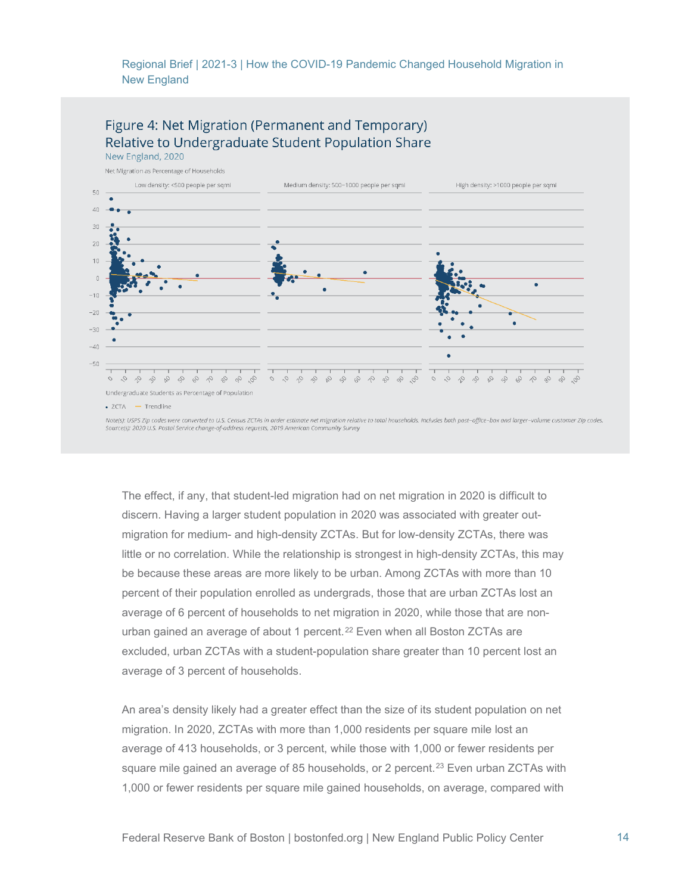

Note(s): USPS Zip codes were converted to U.S. Census ZCTAs in order estimate net migration relative to total households. Includes both post-office-box and larger-volume customer Zip codes. Source(s): 2020 U.S. Postal Service change-of-address requests, 2019 American Community Survey

The effect, if any, that student-led migration had on net migration in 2020 is difficult to discern. Having a larger student population in 2020 was associated with greater outmigration for medium- and high-density ZCTAs. But for low-density ZCTAs, there was little or no correlation. While the relationship is strongest in high-density ZCTAs, this may be because these areas are more likely to be urban. Among ZCTAs with more than 10 percent of their population enrolled as undergrads, those that are urban ZCTAs lost an average of 6 percent of households to net migration in 2020, while those that are non-urban gained an average of about 1 percent.<sup>[22](#page-20-21)</sup> Even when all Boston ZCTAs are excluded, urban ZCTAs with a student-population share greater than 10 percent lost an average of 3 percent of households.

An area's density likely had a greater effect than the size of its student population on net migration. In 2020, ZCTAs with more than 1,000 residents per square mile lost an average of 413 households, or 3 percent, while those with 1,000 or fewer residents per square mile gained an average of 85 households, or 2 percent.<sup>[23](#page-20-22)</sup> Even urban ZCTAs with 1,000 or fewer residents per square mile gained households, on average, compared with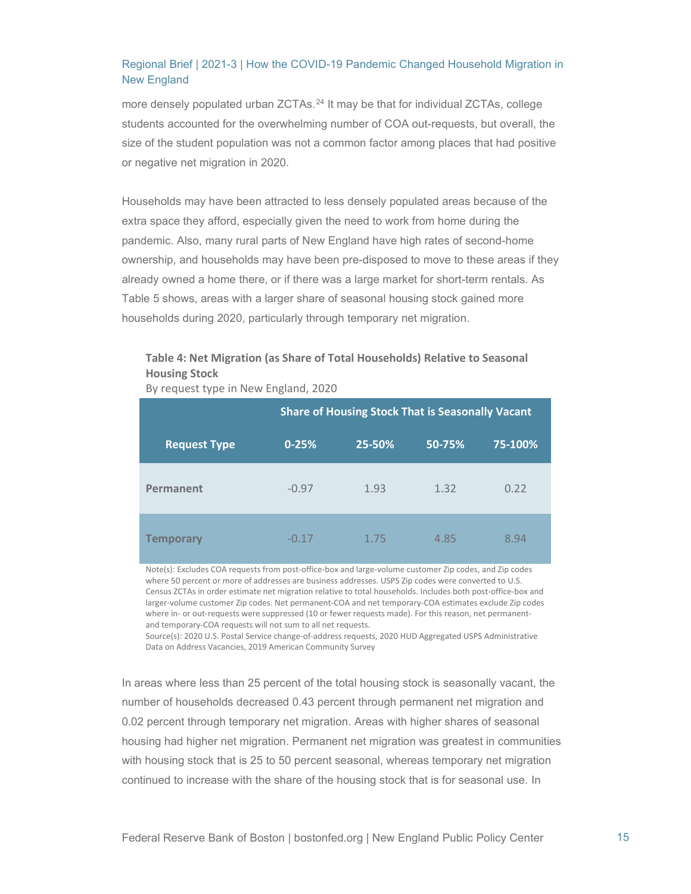more densely populated urban ZCTAs.<sup>[24](#page-20-23)</sup> It may be that for individual ZCTAs, college students accounted for the overwhelming number of COA out-requests, but overall, the size of the student population was not a common factor among places that had positive or negative net migration in 2020.

Households may have been attracted to less densely populated areas because of the extra space they afford, especially given the need to work from home during the pandemic. Also, many rural parts of New England have high rates of second-home ownership, and households may have been pre-disposed to move to these areas if they already owned a home there, or if there was a large market for short-term rentals. As Table 5 shows, areas with a larger share of seasonal housing stock gained more households during 2020, particularly through temporary net migration.

#### **Table 4: Net Migration (as Share of Total Households) Relative to Seasonal Housing Stock**

By request type in New England, 2020

|                     | <b>Share of Housing Stock That is Seasonally Vacant</b> |        |        |         |
|---------------------|---------------------------------------------------------|--------|--------|---------|
| <b>Request Type</b> | $0 - 25%$                                               | 25-50% | 50-75% | 75-100% |
| Permanent           | $-0.97$                                                 | 1.93   | 1.32   | 0.22    |
| <b>Temporary</b>    | $-0.17$                                                 | 1.75   | 4.85   | 8.94    |

Note(s): Excludes COA requests from post-office-box and large-volume customer Zip codes, and Zip codes where 50 percent or more of addresses are business addresses. USPS Zip codes were converted to U.S. Census ZCTAs in order estimate net migration relative to total households. Includes both post-office-box and larger-volume customer Zip codes. Net permanent-COA and net temporary-COA estimates exclude Zip codes where in- or out-requests were suppressed (10 or fewer requests made). For this reason, net permanentand temporary-COA requests will not sum to all net requests.

Source(s): 2020 U.S. Postal Service change-of-address requests, 2020 HUD Aggregated USPS Administrative Data on Address Vacancies, 2019 American Community Survey

In areas where less than 25 percent of the total housing stock is seasonally vacant, the number of households decreased 0.43 percent through permanent net migration and 0.02 percent through temporary net migration. Areas with higher shares of seasonal housing had higher net migration. Permanent net migration was greatest in communities with housing stock that is 25 to 50 percent seasonal, whereas temporary net migration continued to increase with the share of the housing stock that is for seasonal use. In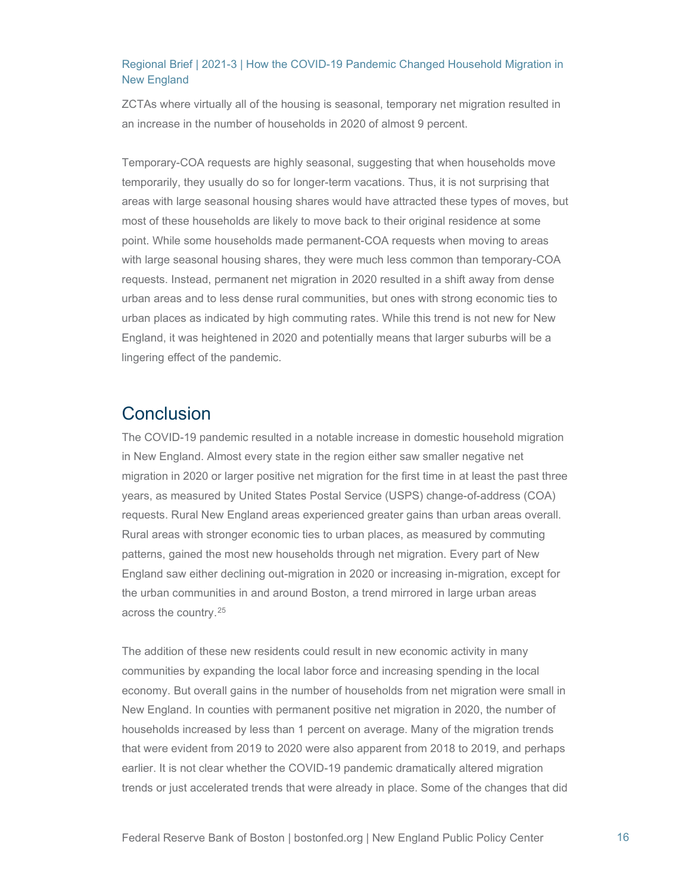ZCTAs where virtually all of the housing is seasonal, temporary net migration resulted in an increase in the number of households in 2020 of almost 9 percent.

Temporary-COA requests are highly seasonal, suggesting that when households move temporarily, they usually do so for longer-term vacations. Thus, it is not surprising that areas with large seasonal housing shares would have attracted these types of moves, but most of these households are likely to move back to their original residence at some point. While some households made permanent-COA requests when moving to areas with large seasonal housing shares, they were much less common than temporary-COA requests. Instead, permanent net migration in 2020 resulted in a shift away from dense urban areas and to less dense rural communities, but ones with strong economic ties to urban places as indicated by high commuting rates. While this trend is not new for New England, it was heightened in 2020 and potentially means that larger suburbs will be a lingering effect of the pandemic.

## **Conclusion**

The COVID-19 pandemic resulted in a notable increase in domestic household migration in New England. Almost every state in the region either saw smaller negative net migration in 2020 or larger positive net migration for the first time in at least the past three years, as measured by United States Postal Service (USPS) change-of-address (COA) requests. Rural New England areas experienced greater gains than urban areas overall. Rural areas with stronger economic ties to urban places, as measured by commuting patterns, gained the most new households through net migration. Every part of New England saw either declining out-migration in 2020 or increasing in-migration, except for the urban communities in and around Boston, a trend mirrored in large urban areas across the country.[25](#page-20-24)

The addition of these new residents could result in new economic activity in many communities by expanding the local labor force and increasing spending in the local economy. But overall gains in the number of households from net migration were small in New England. In counties with permanent positive net migration in 2020, the number of households increased by less than 1 percent on average. Many of the migration trends that were evident from 2019 to 2020 were also apparent from 2018 to 2019, and perhaps earlier. It is not clear whether the COVID-19 pandemic dramatically altered migration trends or just accelerated trends that were already in place. Some of the changes that did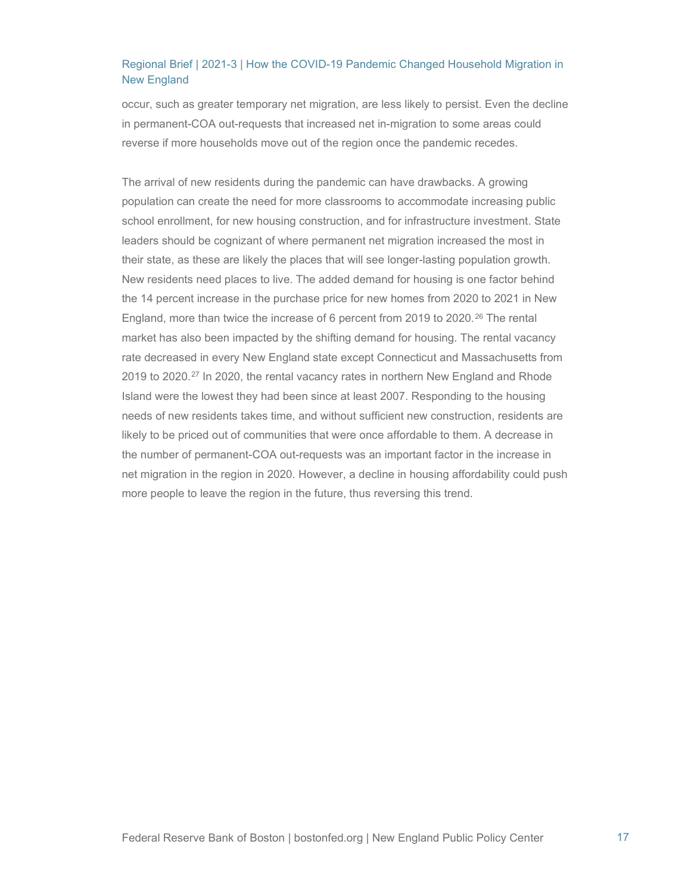occur, such as greater temporary net migration, are less likely to persist. Even the decline in permanent-COA out-requests that increased net in-migration to some areas could reverse if more households move out of the region once the pandemic recedes.

The arrival of new residents during the pandemic can have drawbacks. A growing population can create the need for more classrooms to accommodate increasing public school enrollment, for new housing construction, and for infrastructure investment. State leaders should be cognizant of where permanent net migration increased the most in their state, as these are likely the places that will see longer-lasting population growth. New residents need places to live. The added demand for housing is one factor behind the 14 percent increase in the purchase price for new homes from 2020 to 2021 in New England, more than twice the increase of 6 percent from 2019 to 2020.<sup>[26](#page-20-25)</sup> The rental market has also been impacted by the shifting demand for housing. The rental vacancy rate decreased in every New England state except Connecticut and Massachusetts from 2019 to 2020.<sup>[27](#page-20-26)</sup> In 2020, the rental vacancy rates in northern New England and Rhode Island were the lowest they had been since at least 2007. Responding to the housing needs of new residents takes time, and without sufficient new construction, residents are likely to be priced out of communities that were once affordable to them. A decrease in the number of permanent-COA out-requests was an important factor in the increase in net migration in the region in 2020. However, a decline in housing affordability could push more people to leave the region in the future, thus reversing this trend.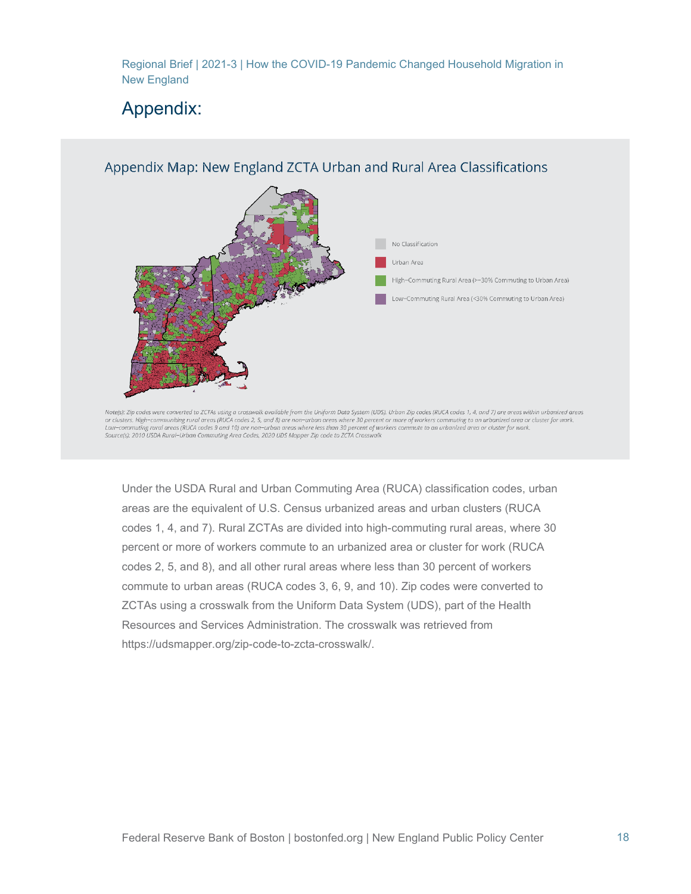# Appendix:



Note(s): Zip codes were converted to ZCTAs using a crosswalk available from the Uniform Data System (UDS), Urban Zip codes (RUCA codes 1, 4, and 7) are areas within urbanized areas or clusters. High-communiting rural areas (RUCA codes 2, 5, and 8) are non-urban areas where 30 percent or more of workers commuting to an urbanized area or cluster for work. Low-commuting rural areas (RUCA codes 9 and 10) are non-urban areas where less than 30 percent of workers commute to an urbanized area or cluster for work. Source(s): 2010 USDA Rural-Urban Commuting Area Codes, 2020 UDS Mapper Zip code to ZCTA Crosswalk

Under the USDA Rural and Urban Commuting Area (RUCA) classification codes, urban areas are the equivalent of U.S. Census urbanized areas and urban clusters (RUCA codes 1, 4, and 7). Rural ZCTAs are divided into high-commuting rural areas, where 30 percent or more of workers commute to an urbanized area or cluster for work (RUCA codes 2, 5, and 8), and all other rural areas where less than 30 percent of workers commute to urban areas (RUCA codes 3, 6, 9, and 10). Zip codes were converted to ZCTAs using a crosswalk from the Uniform Data System (UDS), part of the Health Resources and Services Administration. The crosswalk was retrieved from https://udsmapper.org/zip-code-to-zcta-crosswalk/.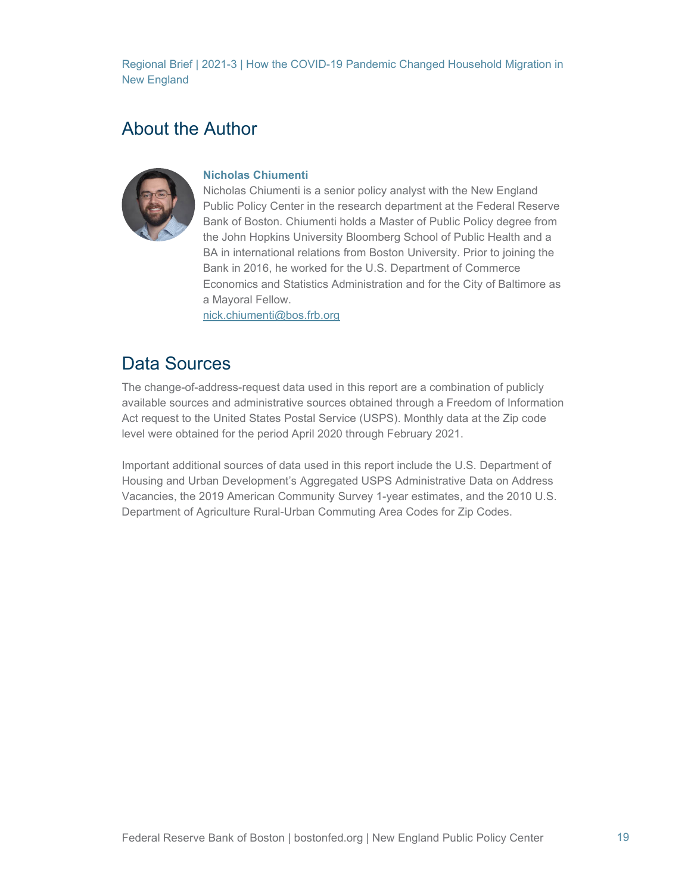## About the Author



#### **Nicholas Chiumenti**

Nicholas Chiumenti is a senior policy analyst with the New England Public Policy Center in the research department at the Federal Reserve Bank of Boston. Chiumenti holds a Master of Public Policy degree from the John Hopkins University Bloomberg School of Public Health and a BA in international relations from Boston University. Prior to joining the Bank in 2016, he worked for the U.S. Department of Commerce Economics and Statistics Administration and for the City of Baltimore as a Mayoral Fellow.

[nick.chiumenti@bos.frb.org](mailto:nick.chiumenti@bos.frb.org)

# Data Sources

The change-of-address-request data used in this report are a combination of publicly available sources and administrative sources obtained through a Freedom of Information Act request to the United States Postal Service (USPS). Monthly data at the Zip code level were obtained for the period April 2020 through February 2021.

Important additional sources of data used in this report include the U.S. Department of Housing and Urban Development's Aggregated USPS Administrative Data on Address Vacancies, the 2019 American Community Survey 1-year estimates, and the 2010 U.S. Department of Agriculture Rural-Urban Commuting Area Codes for Zip Codes.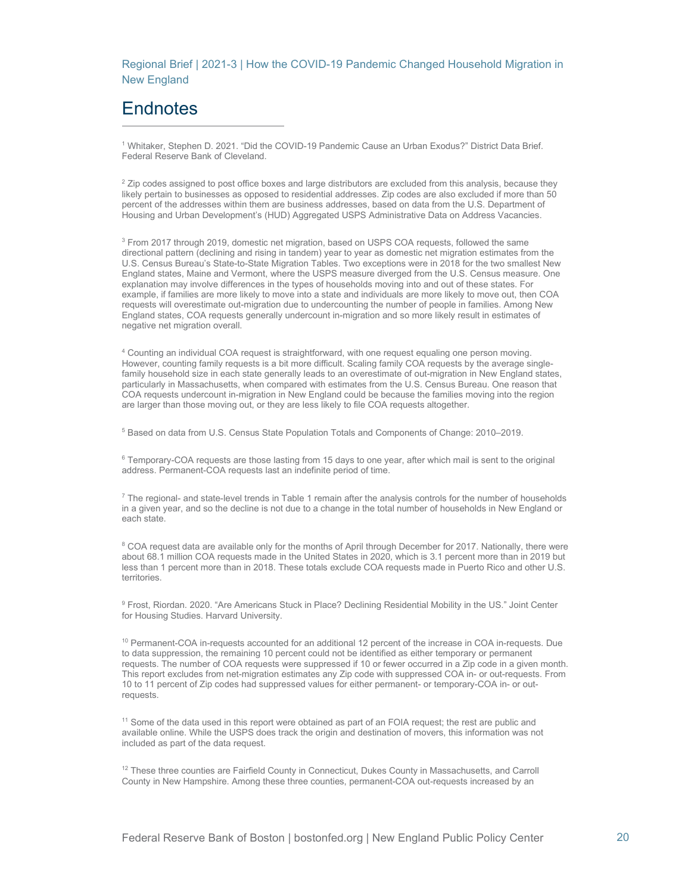# **Endnotes**

<sup>1</sup> Whitaker, Stephen D. 2021. "Did the COVID-19 Pandemic Cause an Urban Exodus?" District Data Brief. Federal Reserve Bank of Cleveland.

 $2$  Zip codes assigned to post office boxes and large distributors are excluded from this analysis, because they likely pertain to businesses as opposed to residential addresses. Zip codes are also excluded if more than 50 percent of the addresses within them are business addresses, based on data from the U.S. Department of Housing and Urban Development's (HUD) Aggregated USPS Administrative Data on Address Vacancies.

<sup>3</sup> From 2017 through 2019, domestic net migration, based on USPS COA requests, followed the same directional pattern (declining and rising in tandem) year to year as domestic net migration estimates from the U.S. Census Bureau's State-to-State Migration Tables. Two exceptions were in 2018 for the two smallest New England states, Maine and Vermont, where the USPS measure diverged from the U.S. Census measure. One explanation may involve differences in the types of households moving into and out of these states. For example, if families are more likely to move into a state and individuals are more likely to move out, then COA requests will overestimate out-migration due to undercounting the number of people in families. Among New England states, COA requests generally undercount in-migration and so more likely result in estimates of negative net migration overall.

<sup>4</sup> Counting an individual COA request is straightforward, with one request equaling one person moving. However, counting family requests is a bit more difficult. Scaling family COA requests by the average singlefamily household size in each state generally leads to an overestimate of out-migration in New England states, particularly in Massachusetts, when compared with estimates from the U.S. Census Bureau. One reason that COA requests undercount in-migration in New England could be because the families moving into the region are larger than those moving out, or they are less likely to file COA requests altogether.

<sup>5</sup> Based on data from U.S. Census State Population Totals and Components of Change: 2010–2019.

 $6$  Temporary-COA requests are those lasting from 15 days to one year, after which mail is sent to the original address. Permanent-COA requests last an indefinite period of time.

 $7$  The regional- and state-level trends in Table 1 remain after the analysis controls for the number of households in a given year, and so the decline is not due to a change in the total number of households in New England or each state.

<sup>8</sup> COA request data are available only for the months of April through December for 2017. Nationally, there were about 68.1 million COA requests made in the United States in 2020, which is 3.1 percent more than in 2019 but less than 1 percent more than in 2018. These totals exclude COA requests made in Puerto Rico and other U.S. **territories** 

<sup>9</sup> Frost, Riordan. 2020. "Are Americans Stuck in Place? Declining Residential Mobility in the US." Joint Center for Housing Studies. Harvard University.

<sup>10</sup> Permanent-COA in-requests accounted for an additional 12 percent of the increase in COA in-requests. Due to data suppression, the remaining 10 percent could not be identified as either temporary or permanent requests. The number of COA requests were suppressed if 10 or fewer occurred in a Zip code in a given month. This report excludes from net-migration estimates any Zip code with suppressed COA in- or out-requests. From 10 to 11 percent of Zip codes had suppressed values for either permanent- or temporary-COA in- or outrequests.

<sup>11</sup> Some of the data used in this report were obtained as part of an FOIA request; the rest are public and available online. While the USPS does track the origin and destination of movers, this information was not included as part of the data request.

<sup>12</sup> These three counties are Fairfield County in Connecticut, Dukes County in Massachusetts, and Carroll County in New Hampshire. Among these three counties, permanent-COA out-requests increased by an